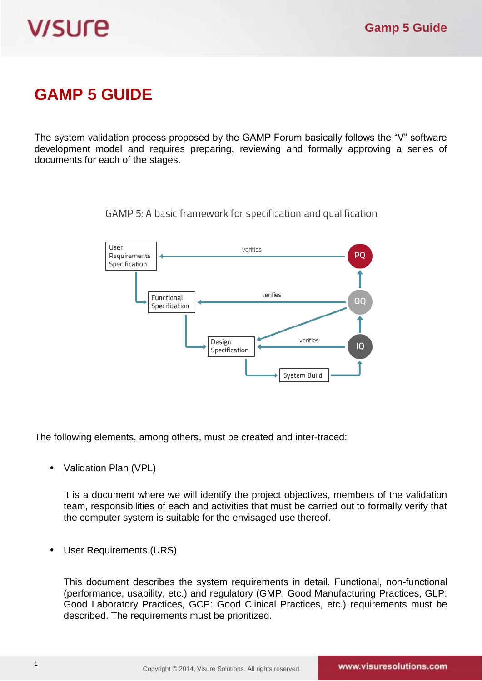# **V/SUre**

# **GAMP 5 GUIDE**

The system validation process proposed by the GAMP Forum basically follows the "V" software development model and requires preparing, reviewing and formally approving a series of documents for each of the stages.

> **I** Iser verifies PO Requirements Specification verifies Functional OO Specification verifies Design IQ Specification System Build

GAMP 5: A basic framework for specification and qualification

The following elements, among others, must be created and inter-traced:

## • Validation Plan (VPL)

It is a document where we will identify the project objectives, members of the validation team, responsibilities of each and activities that must be carried out to formally verify that the computer system is suitable for the envisaged use thereof.

User Requirements (URS)

This document describes the system requirements in detail. Functional, non-functional (performance, usability, etc.) and regulatory (GMP: Good Manufacturing Practices, GLP: Good Laboratory Practices, GCP: Good Clinical Practices, etc.) requirements must be described. The requirements must be prioritized.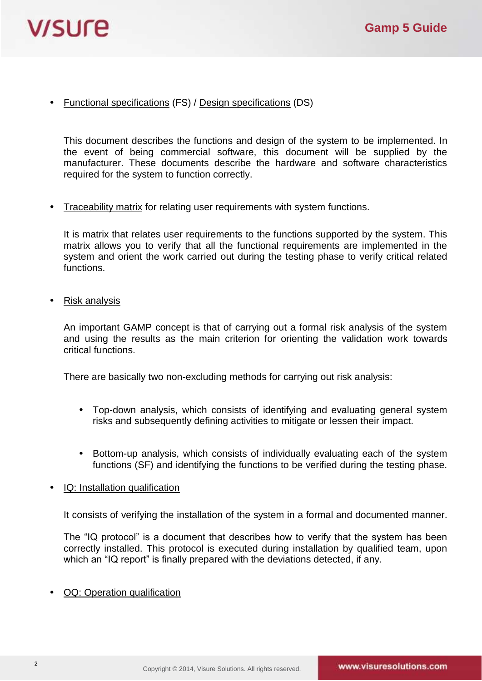

• Functional specifications (FS) / Design specifications (DS)

This document describes the functions and design of the system to be implemented. In the event of being commercial software, this document will be supplied by the manufacturer. These documents describe the hardware and software characteristics required for the system to function correctly.

• Traceability matrix for relating user requirements with system functions.

It is matrix that relates user requirements to the functions supported by the system. This matrix allows you to verify that all the functional requirements are implemented in the system and orient the work carried out during the testing phase to verify critical related functions.

• Risk analysis

An important GAMP concept is that of carrying out a formal risk analysis of the system and using the results as the main criterion for orienting the validation work towards critical functions.

There are basically two non-excluding methods for carrying out risk analysis:

- Top-down analysis, which consists of identifying and evaluating general system risks and subsequently defining activities to mitigate or lessen their impact.
- Bottom-up analysis, which consists of individually evaluating each of the system functions (SF) and identifying the functions to be verified during the testing phase.
- IQ: Installation qualification

It consists of verifying the installation of the system in a formal and documented manner.

The "IQ protocol" is a document that describes how to verify that the system has been correctly installed. This protocol is executed during installation by qualified team, upon which an "IQ report" is finally prepared with the deviations detected, if any.

• OQ: Operation qualification